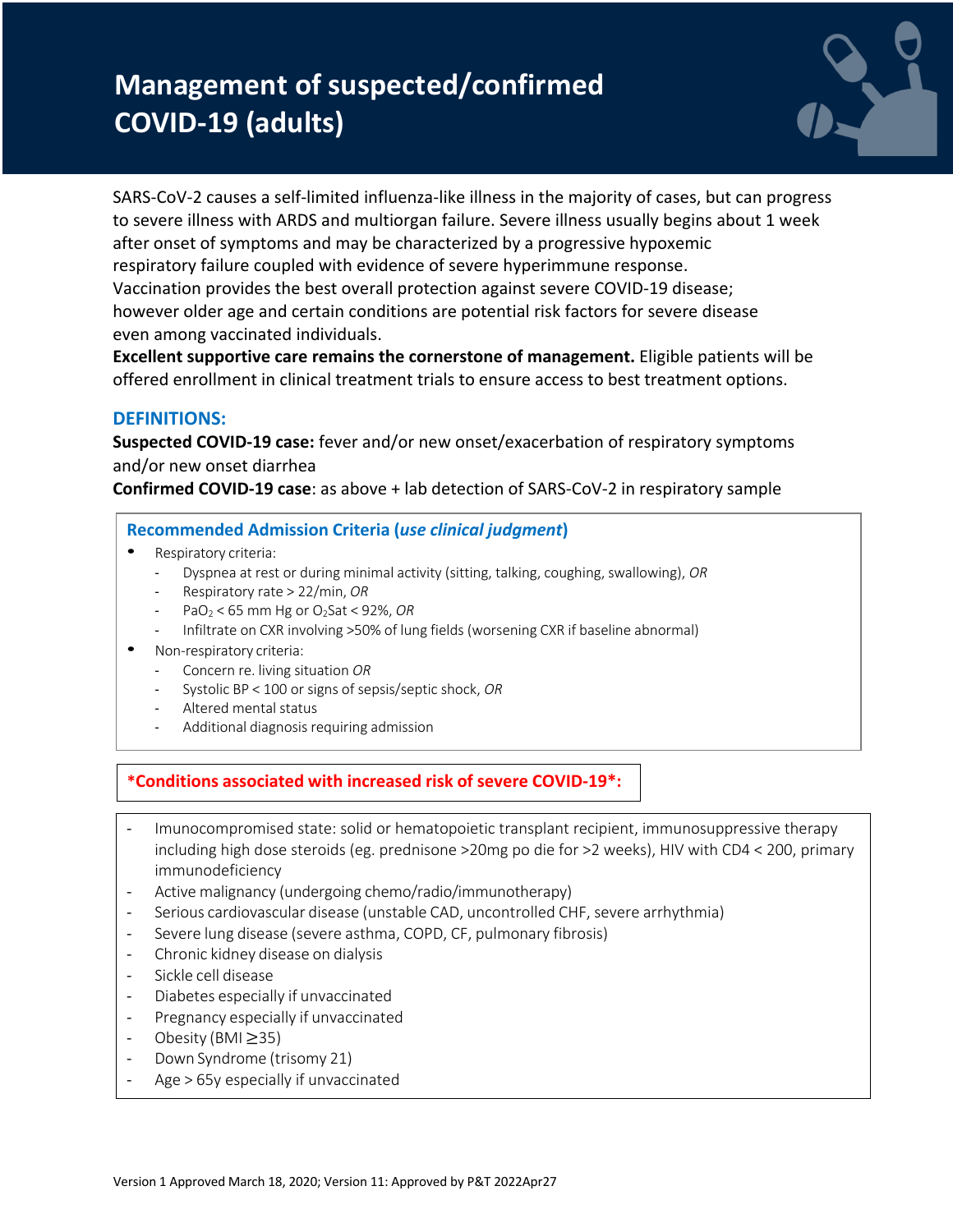# **Management of suspected/confirmed COVID-19 (adults)**



SARS-CoV-2 causes a self-limited influenza-like illness in the majority of cases, but can progress to severe illness with ARDS and multiorgan failure. Severe illness usually begins about 1 week after onset of symptoms and may be characterized by a progressive hypoxemic respiratory failure coupled with evidence of severe hyperimmune response. Vaccination provides the best overall protection against severe COVID-19 disease; however older age and certain conditions are potential risk factors for severe disease even among vaccinated individuals.

**Excellent supportive care remains the cornerstone of management.** Eligible patients will be offered enrollment in clinical treatment trials to ensure access to best treatment options.

# **DEFINITIONS:**

**Suspected COVID-19 case:** fever and/or new onset/exacerbation of respiratory symptoms and/or new onset diarrhea

**Confirmed COVID-19 case**: as above + lab detection of SARS-CoV-2 in respiratory sample

### **Recommended Admission Criteria (***use clinical judgment***)**

- Respiratory criteria:
	- Dyspnea at rest or during minimal activity (sitting, talking, coughing, swallowing), *OR*
	- Respiratory rate > 22/min, *OR*
	- PaO<sub>2</sub> < 65 mm Hg or O<sub>2</sub>Sat < 92%, OR
	- Infiltrate on CXR involving >50% of lung fields (worsening CXR if baseline abnormal)
- Non-respiratory criteria:
	- Concern re. living situation *OR*
	- Systolic BP < 100 or signs of sepsis/septic shock, *OR*
	- Altered mental status
	- Additional diagnosis requiring admission

# **\*Conditions associated with increased risk of severe COVID-19\*:**

- Imunocompromised state: solid or hematopoietic transplant recipient, immunosuppressive therapy including high dose steroids (eg. prednisone >20mg po die for >2 weeks), HIV with CD4 < 200, primary immunodeficiency
- Active malignancy (undergoing chemo/radio/immunotherapy)
- Serious cardiovascular disease (unstable CAD, uncontrolled CHF, severe arrhythmia)
- Severe lung disease (severe asthma, COPD, CF, pulmonary fibrosis)
- Chronic kidney disease on dialysis
- Sickle cell disease
- Diabetes especially if unvaccinated
- Pregnancy especially if unvaccinated
- Obesity (BMI ≥35)
- Down Syndrome (trisomy 21)
- Age > 65y especially if unvaccinated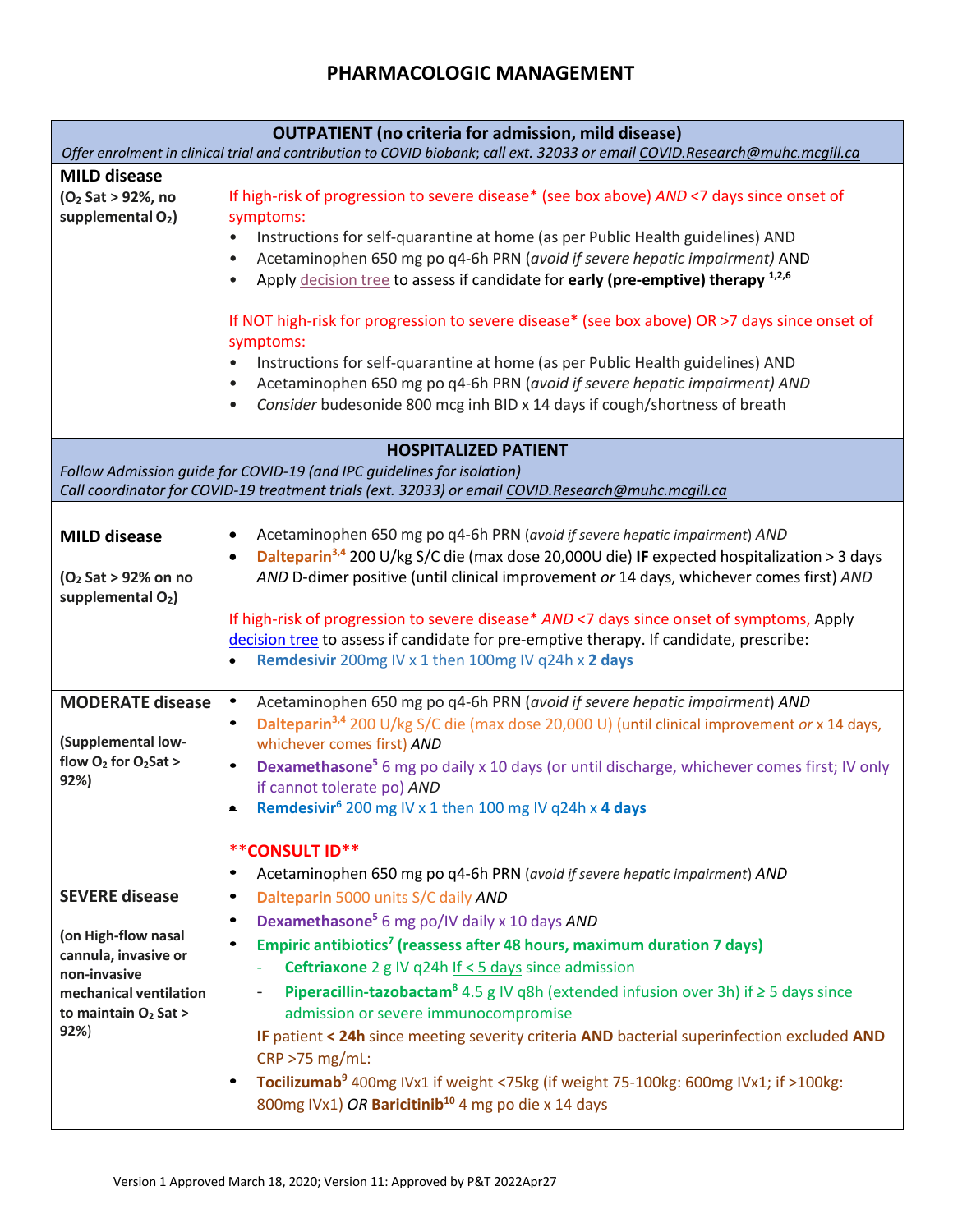# **PHARMACOLOGIC MANAGEMENT**

| <b>OUTPATIENT</b> (no criteria for admission, mild disease)<br>Offer enrolment in clinical trial and contribution to COVID biobank; call ext. 32033 or email COVID.Research@muhc.mcgill.ca                  |                                                                                                                                                                                                                                                                                                                                                                                                                                                                                                                                                                                                                                                                                                                                                                                                                    |
|-------------------------------------------------------------------------------------------------------------------------------------------------------------------------------------------------------------|--------------------------------------------------------------------------------------------------------------------------------------------------------------------------------------------------------------------------------------------------------------------------------------------------------------------------------------------------------------------------------------------------------------------------------------------------------------------------------------------------------------------------------------------------------------------------------------------------------------------------------------------------------------------------------------------------------------------------------------------------------------------------------------------------------------------|
| <b>MILD disease</b><br>(O <sub>2</sub> Sat > 92%, no<br>supplemental O <sub>2</sub> )                                                                                                                       | If high-risk of progression to severe disease* (see box above) AND <7 days since onset of<br>symptoms:<br>Instructions for self-quarantine at home (as per Public Health guidelines) AND<br>Acetaminophen 650 mg po q4-6h PRN (avoid if severe hepatic impairment) AND<br>Apply decision tree to assess if candidate for early (pre-emptive) therapy 1,2,6<br>If NOT high-risk for progression to severe disease* (see box above) OR >7 days since onset of<br>symptoms:<br>Instructions for self-quarantine at home (as per Public Health guidelines) AND<br>Acetaminophen 650 mg po q4-6h PRN (avoid if severe hepatic impairment) AND<br>$\bullet$<br>Consider budesonide 800 mcg inh BID x 14 days if cough/shortness of breath<br>$\bullet$                                                                   |
| <b>HOSPITALIZED PATIENT</b><br>Follow Admission guide for COVID-19 (and IPC guidelines for isolation)<br>Call coordinator for COVID-19 treatment trials (ext. 32033) or email COVID.Research@muhc.mcqill.ca |                                                                                                                                                                                                                                                                                                                                                                                                                                                                                                                                                                                                                                                                                                                                                                                                                    |
| <b>MILD disease</b><br>(O <sub>2</sub> Sat > 92% on no<br>supplemental O <sub>2</sub> )                                                                                                                     | Acetaminophen 650 mg po q4-6h PRN (avoid if severe hepatic impairment) AND<br>Dalteparin <sup>3,4</sup> 200 U/kg S/C die (max dose 20,000U die) IF expected hospitalization > 3 days<br>AND D-dimer positive (until clinical improvement or 14 days, whichever comes first) AND<br>If high-risk of progression to severe disease* AND <7 days since onset of symptoms, Apply<br>decision tree to assess if candidate for pre-emptive therapy. If candidate, prescribe:<br>Remdesivir 200mg IV x 1 then 100mg IV q24h x 2 days                                                                                                                                                                                                                                                                                      |
| <b>MODERATE disease</b><br>(Supplemental low-<br>flow $O_2$ for $O_2$ Sat ><br>92%)                                                                                                                         | Acetaminophen 650 mg po q4-6h PRN (avoid if severe hepatic impairment) AND<br>$\bullet$<br>Dalteparin <sup>3,4</sup> 200 U/kg S/C die (max dose 20,000 U) (until clinical improvement or x 14 days,<br>whichever comes first) AND<br><b>Dexamethasone<sup>5</sup></b> 6 mg po daily x 10 days (or until discharge, whichever comes first; IV only<br>$\bullet$<br>if cannot tolerate po) AND<br>Remdesivir <sup>6</sup> 200 mg IV x 1 then 100 mg IV q24h x 4 days                                                                                                                                                                                                                                                                                                                                                 |
| <b>SEVERE disease</b><br>(on High-flow nasal<br>cannula, invasive or<br>non-invasive<br>mechanical ventilation<br>to maintain $O2$ Sat ><br>92%                                                             | <b>**CONSULT ID**</b><br>Acetaminophen 650 mg po q4-6h PRN (avoid if severe hepatic impairment) AND<br>Dalteparin 5000 units S/C daily AND<br>Dexamethasone <sup>5</sup> 6 mg po/IV daily x 10 days AND<br>٠<br>Empiric antibiotics <sup>7</sup> (reassess after 48 hours, maximum duration 7 days)<br><b>Ceftriaxone</b> 2 g IV q24h If $<$ 5 days since admission<br><b>Piperacillin-tazobactam<sup>8</sup></b> 4.5 g IV q8h (extended infusion over 3h) if $\geq$ 5 days since<br>admission or severe immunocompromise<br>IF patient < 24h since meeting severity criteria AND bacterial superinfection excluded AND<br>$CRP > 75 mg/mL$ :<br>Tocilizumab <sup>9</sup> 400mg IVx1 if weight <75kg (if weight 75-100kg: 600mg IVx1; if >100kg:<br>800mg IVx1) OR Baricitinib <sup>10</sup> 4 mg po die x 14 days |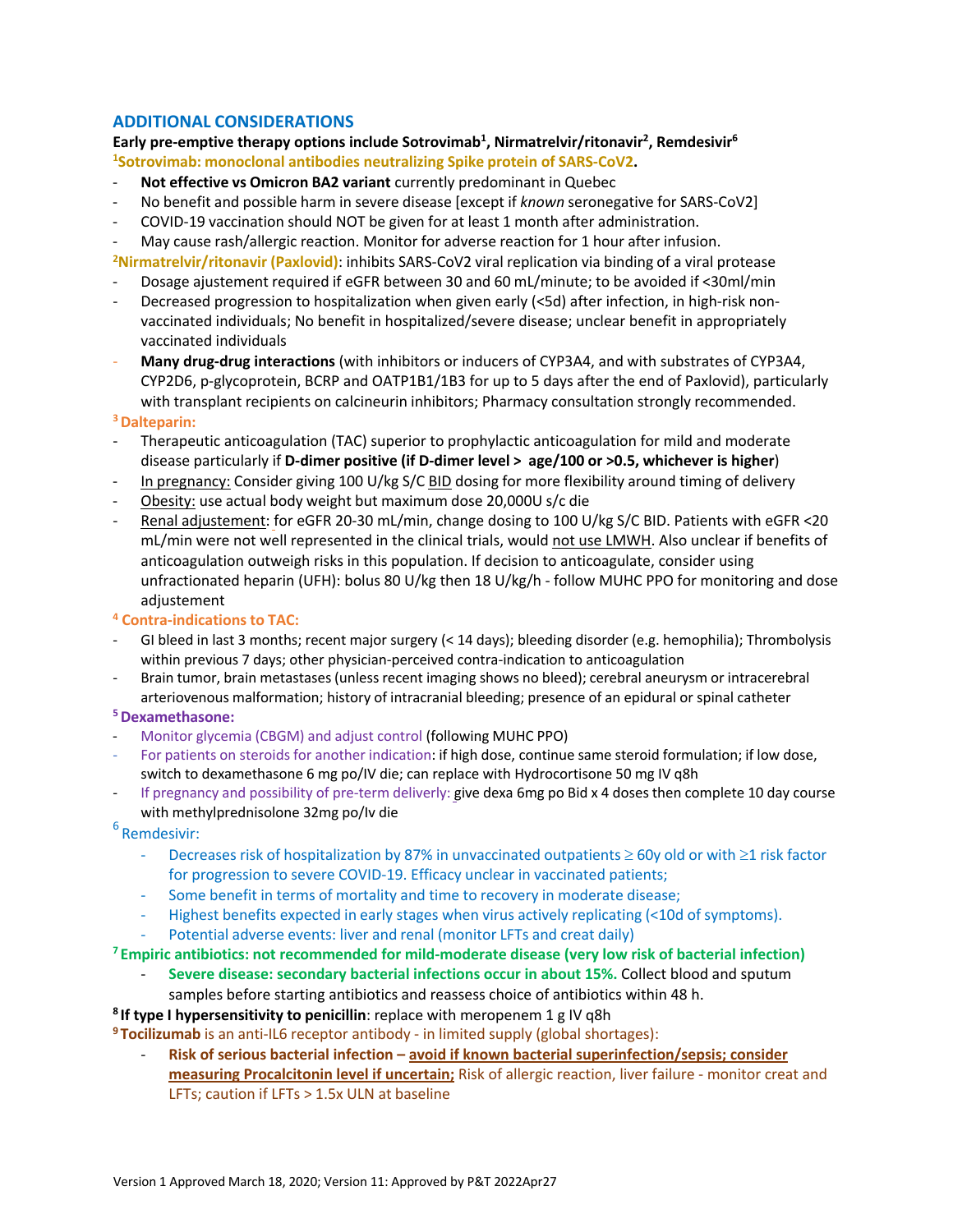### **ADDITIONAL CONSIDERATIONS**

Early pre-emptive therapy options include Sotrovimab<sup>1</sup>, Nirmatrelvir/ritonavir<sup>2</sup>, Remdesivir<sup>6</sup> **1 Sotrovimab: monoclonal antibodies neutralizing Spike protein of SARS-CoV2.**

- **Not effective vs Omicron BA2 variant** currently predominant in Quebec
- No benefit and possible harm in severe disease [except if *known* seronegative for SARS-CoV2]
- COVID-19 vaccination should NOT be given for at least 1 month after administration.
- May cause rash/allergic reaction. Monitor for adverse reaction for 1 hour after infusion.
- **2 Nirmatrelvir/ritonavir (Paxlovid)**: inhibits SARS-CoV2 viral replication via binding of a viral protease
- Dosage ajustement required if eGFR between 30 and 60 mL/minute; to be avoided if <30ml/min
- Decreased progression to hospitalization when given early (<5d) after infection, in high-risk nonvaccinated individuals; No benefit in hospitalized/severe disease; unclear benefit in appropriately vaccinated individuals
- **Many drug-drug interactions** (with inhibitors or inducers of CYP3A4, and with substrates of CYP3A4, CYP2D6, p-glycoprotein, BCRP and OATP1B1/1B3 for up to 5 days after the end of Paxlovid), particularly with transplant recipients on calcineurin inhibitors; Pharmacy consultation strongly recommended.

### **3Dalteparin:**

- Therapeutic anticoagulation (TAC) superior to prophylactic anticoagulation for mild and moderate disease particularly if **D-dimer positive (if D-dimer level > age/100 or >0.5, whichever is higher**)
- In pregnancy: Consider giving 100 U/kg S/C BID dosing for more flexibility around timing of delivery
- Obesity: use actual body weight but maximum dose 20,000U s/c die
- Renal adjustement: for eGFR 20-30 mL/min, change dosing to 100 U/kg S/C BID. Patients with eGFR <20 mL/min were not well represented in the clinical trials, would not use LMWH. Also unclear if benefits of anticoagulation outweigh risks in this population. If decision to anticoagulate, consider using unfractionated heparin (UFH): bolus 80 U/kg then 18 U/kg/h - follow MUHC PPO for monitoring and dose adjustement
- **<sup>4</sup> Contra-indications to TAC:**
- GI bleed in last 3 months; recent major surgery (< 14 days); bleeding disorder (e.g. hemophilia); Thrombolysis within previous 7 days; other physician-perceived contra-indication to anticoagulation
- Brain tumor, brain metastases (unless recent imaging shows no bleed); cerebral aneurysm or intracerebral arteriovenous malformation; history of intracranial bleeding; presence of an epidural or spinal catheter

### **5Dexamethasone:**

- Monitor glycemia (CBGM) and adjust control (following MUHC PPO)
- For patients on steroids for another indication: if high dose, continue same steroid formulation; if low dose, switch to dexamethasone 6 mg po/IV die; can replace with Hydrocortisone 50 mg IV q8h
- If pregnancy and possibility of pre-term deliverly: give dexa 6mg po Bid x 4 doses then complete 10 day course with methylprednisolone 32mg po/Iv die

<sup>6</sup> Remdesivir:

- Decreases risk of hospitalization by 87% in unvaccinated outpatients  $\geq$  60y old or with  $\geq$ 1 risk factor for progression to severe COVID-19. Efficacy unclear in vaccinated patients;
- Some benefit in terms of mortality and time to recovery in moderate disease;
- Highest benefits expected in early stages when virus actively replicating (<10d of symptoms).
- Potential adverse events: liver and renal (monitor LFTs and creat daily)

### **<sup>7</sup> Empiric antibiotics: not recommended for mild-moderate disease (very low risk of bacterial infection)**

- **Severe disease: secondary bacterial infections occur in about 15%.** Collect blood and sputum samples before starting antibiotics and reassess choice of antibiotics within 48 h.
- **<sup>8</sup> If type I hypersensitivity to penicillin**: replace with meropenem 1 g IV q8h

**<sup>9</sup> Tocilizumab** is an anti-IL6 receptor antibody - in limited supply (global shortages):

- **Risk of serious bacterial infection – avoid if known bacterial superinfection/sepsis; consider measuring Procalcitonin level if uncertain;** Risk of allergic reaction, liver failure - monitor creat and LFTs; caution if LFTs > 1.5x ULN at baseline